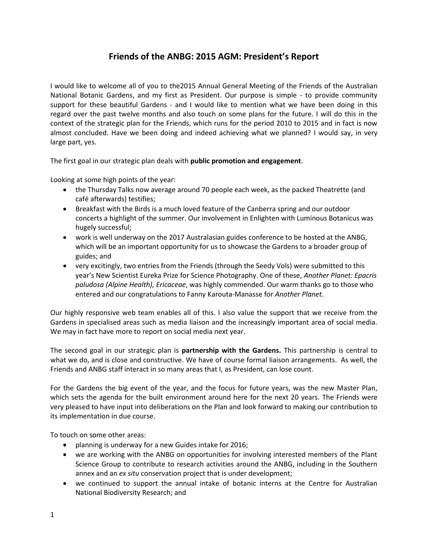# **Friends of the ANBG: 2015 AGM: President's Report**

I would like to welcome all of you to the2015 Annual General Meeting of the Friends of the Australian National Botanic Gardens, and my first as President. Our purpose is simple - to provide community support for these beautiful Gardens - and I would like to mention what we have been doing in this regard over the past twelve months and also touch on some plans for the future. I will do this in the context of the strategic plan for the Friends, which runs for the period 2010 to 2015 and in fact is now almost concluded. Have we been doing and indeed achieving what we planned? I would say, in very large part, yes.

The first goal in our strategic plan deals with **public promotion and engagement**.

Looking at some high points of the year:

- the Thursday Talks now average around 70 people each week, as the packed Theatrette (and café afterwards) testifies;
- Breakfast with the Birds is a much loved feature of the Canberra spring and our outdoor concerts a highlight of the summer. Our involvement in Enlighten with Luminous Botanicus was hugely successful;
- work is well underway on the 2017 Australasian guides conference to be hosted at the ANBG, which will be an important opportunity for us to showcase the Gardens to a broader group of guides; and
- very excitingly, two entries from the Friends (through the Seedy Vols) were submitted to this year's New Scientist Eureka Prize for Science Photography. One of these, *Another Planet: Epacris paludosa (Alpine Health), Ericaceae*, was highly commended. Our warm thanks go to those who entered and our congratulations to Fanny Karouta-Manasse for *Another Planet*.

Our highly responsive web team enables all of this. I also value the support that we receive from the Gardens in specialised areas such as media liaison and the increasingly important area of social media. We may in fact have more to report on social media next year.

The second goal in our strategic plan is **partnership with the Gardens.** This partnership is central to what we do, and is close and constructive. We have of course formal liaison arrangements. As well, the Friends and ANBG staff interact in so many areas that I, as President, can lose count.

For the Gardens the big event of the year, and the focus for future years, was the new Master Plan, which sets the agenda for the built environment around here for the next 20 years. The Friends were very pleased to have input into deliberations on the Plan and look forward to making our contribution to its implementation in due course.

To touch on some other areas:

- planning is underway for a new Guides intake for 2016;
- we are working with the ANBG on opportunities for involving interested members of the Plant Science Group to contribute to research activities around the ANBG, including in the Southern annex and an *ex situ* conservation project that is under development;
- we continued to support the annual intake of botanic interns at the Centre for Australian National Biodiversity Research; and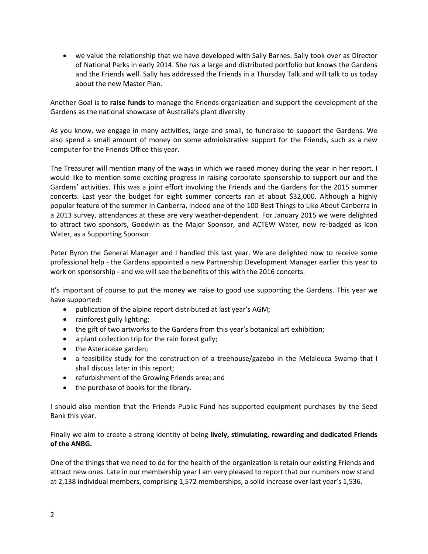we value the relationship that we have developed with Sally Barnes. Sally took over as Director of National Parks in early 2014. She has a large and distributed portfolio but knows the Gardens and the Friends well. Sally has addressed the Friends in a Thursday Talk and will talk to us today about the new Master Plan.

Another Goal is to **raise funds** to manage the Friends organization and support the development of the Gardens as the national showcase of Australia's plant diversity

As you know, we engage in many activities, large and small, to fundraise to support the Gardens. We also spend a small amount of money on some administrative support for the Friends, such as a new computer for the Friends Office this year.

The Treasurer will mention many of the ways in which we raised money during the year in her report. I would like to mention some exciting progress in raising corporate sponsorship to support our and the Gardens' activities. This was a joint effort involving the Friends and the Gardens for the 2015 summer concerts. Last year the budget for eight summer concerts ran at about \$32,000. Although a highly popular feature of the summer in Canberra, indeed one of the 100 Best Things to Like About Canberra in a 2013 survey, attendances at these are very weather-dependent. For January 2015 we were delighted to attract two sponsors, Goodwin as the Major Sponsor, and ACTEW Water, now re-badged as Icon Water, as a Supporting Sponsor.

Peter Byron the General Manager and I handled this last year. We are delighted now to receive some professional help - the Gardens appointed a new Partnership Development Manager earlier this year to work on sponsorship - and we will see the benefits of this with the 2016 concerts.

It's important of course to put the money we raise to good use supporting the Gardens. This year we have supported:

- publication of the alpine report distributed at last year's AGM;
- rainforest gully lighting;
- the gift of two artworks to the Gardens from this year's botanical art exhibition;
- a plant collection trip for the rain forest gully;
- the Asteraceae garden;
- a feasibility study for the construction of a treehouse/gazebo in the Melaleuca Swamp that I shall discuss later in this report;
- refurbishment of the Growing Friends area; and
- the purchase of books for the library.

I should also mention that the Friends Public Fund has supported equipment purchases by the Seed Bank this year.

Finally we aim to create a strong identity of being **lively, stimulating, rewarding and dedicated Friends of the ANBG.**

One of the things that we need to do for the health of the organization is retain our existing Friends and attract new ones. Late in our membership year I am very pleased to report that our numbers now stand at 2,138 individual members, comprising 1,572 memberships, a solid increase over last year's 1,536.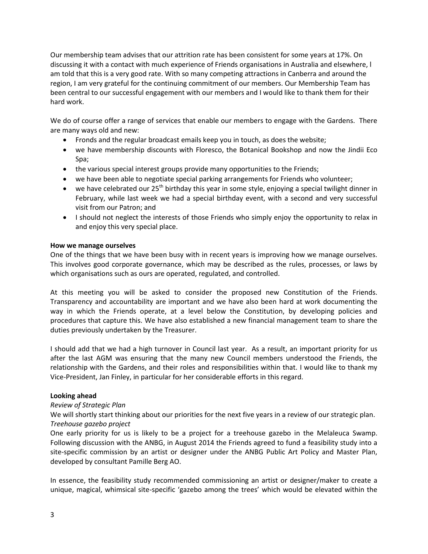Our membership team advises that our attrition rate has been consistent for some years at 17%. On discussing it with a contact with much experience of Friends organisations in Australia and elsewhere, l am told that this is a very good rate. With so many competing attractions in Canberra and around the region, I am very grateful for the continuing commitment of our members. Our Membership Team has been central to our successful engagement with our members and I would like to thank them for their hard work.

We do of course offer a range of services that enable our members to engage with the Gardens. There are many ways old and new:

- Fronds and the regular broadcast emails keep you in touch, as does the website;
- we have membership discounts with Floresco, the Botanical Bookshop and now the Jindii Eco Spa;
- the various special interest groups provide many opportunities to the Friends;
- we have been able to negotiate special parking arrangements for Friends who volunteer;
- we have celebrated our  $25<sup>th</sup>$  birthday this year in some style, enjoying a special twilight dinner in February, while last week we had a special birthday event, with a second and very successful visit from our Patron; and
- I should not neglect the interests of those Friends who simply enjoy the opportunity to relax in and enjoy this very special place.

### **How we manage ourselves**

One of the things that we have been busy with in recent years is improving how we manage ourselves. This involves good corporate governance, which may be described as the rules, processes, or laws by which organisations such as ours are operated, regulated, and controlled.

At this meeting you will be asked to consider the proposed new Constitution of the Friends. Transparency and accountability are important and we have also been hard at work documenting the way in which the Friends operate, at a level below the Constitution, by developing policies and procedures that capture this. We have also established a new financial management team to share the duties previously undertaken by the Treasurer.

I should add that we had a high turnover in Council last year. As a result, an important priority for us after the last AGM was ensuring that the many new Council members understood the Friends, the relationship with the Gardens, and their roles and responsibilities within that. I would like to thank my Vice-President, Jan Finley, in particular for her considerable efforts in this regard.

## **Looking ahead**

## *Review of Strategic Plan*

We will shortly start thinking about our priorities for the next five years in a review of our strategic plan. *Treehouse gazebo project*

One early priority for us is likely to be a project for a treehouse gazebo in the Melaleuca Swamp. Following discussion with the ANBG, in August 2014 the Friends agreed to fund a feasibility study into a site-specific commission by an artist or designer under the ANBG Public Art Policy and Master Plan, developed by consultant Pamille Berg AO.

In essence, the feasibility study recommended commissioning an artist or designer/maker to create a unique, magical, whimsical site-specific 'gazebo among the trees' which would be elevated within the